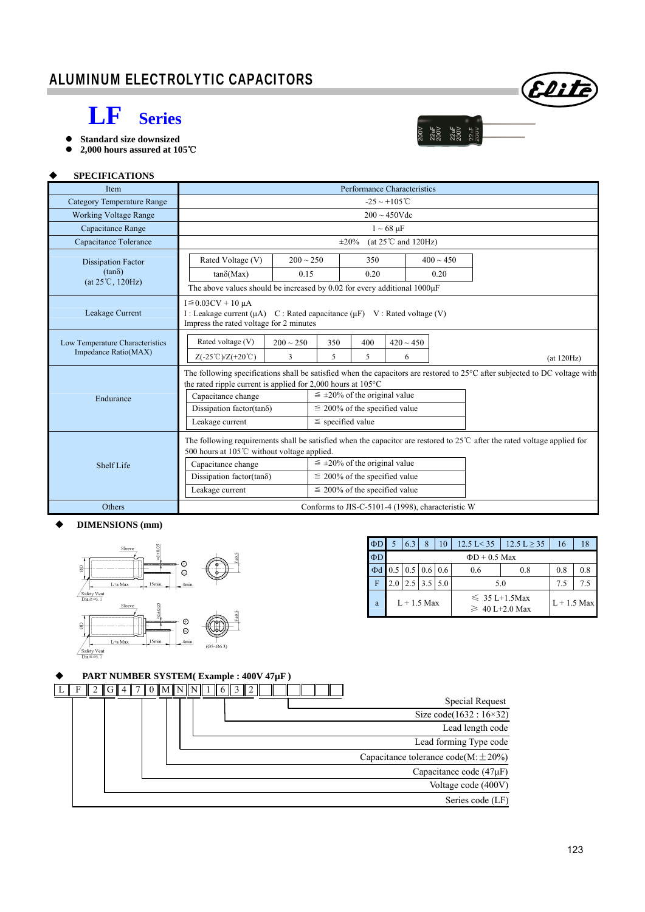# **LF Series**

- **Standard size downsized**
- **2,000 hours assured at 105**℃



 $\frac{1}{200}$ 

#### **SPECIFICATIONS**

| Item                              | Performance Characteristics                                                                                                                                                                                                                                   |                                                                                                                                                                                                                                                                                                               |                |            |  |  |  |  |  |  |  |
|-----------------------------------|---------------------------------------------------------------------------------------------------------------------------------------------------------------------------------------------------------------------------------------------------------------|---------------------------------------------------------------------------------------------------------------------------------------------------------------------------------------------------------------------------------------------------------------------------------------------------------------|----------------|------------|--|--|--|--|--|--|--|
| <b>Category Temperature Range</b> | $-25 \sim +105^{\circ}$ C                                                                                                                                                                                                                                     |                                                                                                                                                                                                                                                                                                               |                |            |  |  |  |  |  |  |  |
| <b>Working Voltage Range</b>      | $200 \sim 450$ Vdc                                                                                                                                                                                                                                            |                                                                                                                                                                                                                                                                                                               |                |            |  |  |  |  |  |  |  |
| Capacitance Range                 | $1 \sim 68 \mu F$                                                                                                                                                                                                                                             |                                                                                                                                                                                                                                                                                                               |                |            |  |  |  |  |  |  |  |
| Capacitance Tolerance             | (at $25^{\circ}$ C and 120Hz)<br>$\pm 20\%$                                                                                                                                                                                                                   |                                                                                                                                                                                                                                                                                                               |                |            |  |  |  |  |  |  |  |
| <b>Dissipation Factor</b>         | Rated Voltage (V)<br>$200 \sim 250$                                                                                                                                                                                                                           | 350                                                                                                                                                                                                                                                                                                           | $400 \sim 450$ |            |  |  |  |  |  |  |  |
| $(tan\delta)$                     | $tan\delta(Max)$<br>0.15                                                                                                                                                                                                                                      | 0.20                                                                                                                                                                                                                                                                                                          | 0.20           |            |  |  |  |  |  |  |  |
| $(at 25^{\circ}C, 120Hz)$         |                                                                                                                                                                                                                                                               | The above values should be increased by 0.02 for every additional $1000\mu$ F                                                                                                                                                                                                                                 |                |            |  |  |  |  |  |  |  |
| Leakage Current                   | $I \leq 0.03CV + 10 \mu A$                                                                                                                                                                                                                                    | I: Leakage current $(\mu A)$ C: Rated capacitance $(\mu F)$ V: Rated voltage (V)<br>Impress the rated voltage for 2 minutes                                                                                                                                                                                   |                |            |  |  |  |  |  |  |  |
| Low Temperature Characteristics   | Rated voltage (V)<br>$200 \sim 250$                                                                                                                                                                                                                           | 350<br>400                                                                                                                                                                                                                                                                                                    | $420 \sim 450$ |            |  |  |  |  |  |  |  |
| Impedance Ratio(MAX)              | $Z(-25^{\circ}\text{C})/Z(+20^{\circ}\text{C})$<br>3                                                                                                                                                                                                          | 5<br>5                                                                                                                                                                                                                                                                                                        | 6              | (at 120Hz) |  |  |  |  |  |  |  |
| Endurance                         | Capacitance change<br>Dissipation factor(tan $\delta$ )<br>Leakage current                                                                                                                                                                                    | The following specifications shall be satisfied when the capacitors are restored to $25^{\circ}$ C after subjected to DC voltage with<br>the rated ripple current is applied for 2,000 hours at 105°C<br>$\leq \pm 20\%$ of the original value<br>$\leq$ 200% of the specified value<br>$\le$ specified value |                |            |  |  |  |  |  |  |  |
| Shelf Life                        | The following requirements shall be satisfied when the capacitor are restored to $25^{\circ}$ after the rated voltage applied for<br>500 hours at 105℃ without voltage applied.<br>Capacitance change<br>Dissipation factor(tan $\delta$ )<br>Leakage current | $\leq \pm 20\%$ of the original value<br>$\leq$ 200% of the specified value<br>$\leq$ 200% of the specified value                                                                                                                                                                                             |                |            |  |  |  |  |  |  |  |
| Others                            |                                                                                                                                                                                                                                                               | Conforms to JIS-C-5101-4 (1998), characteristic W                                                                                                                                                                                                                                                             |                |            |  |  |  |  |  |  |  |

### **DIMENSIONS (mm)**



| $\Phi$ D |                    | 6.3 | 8                                         | 10  | $12.5 \text{ L} \geq 35$<br>$12.5 \text{ L} < 35$ |                                           | 16  | 18 |  |  |
|----------|--------------------|-----|-------------------------------------------|-----|---------------------------------------------------|-------------------------------------------|-----|----|--|--|
| $\Phi D$ | $\Phi$ D + 0.5 Max |     |                                           |     |                                                   |                                           |     |    |  |  |
| Φd       |                    |     | $0.5 \,   \, 0.5 \,   \, 0.6 \,   \, 0.6$ |     | 0.6                                               | 0.8                                       | 0.8 |    |  |  |
| F        | 2.0                | 2.5 | 3.5                                       | 5.0 | 5.0                                               | 7.5                                       | 7.5 |    |  |  |
| a        |                    |     | $L+1.5$ Max                               |     |                                                   | $\leq 35$ L+1.5Max<br>$\geq 40$ L+2.0 Max |     |    |  |  |

## **PART NUMBER SYSTEM( Example : 400V 47µF )**

|                                            |  |  | $0$ $\text{IMININ}$ 1 |  |  |  |  |
|--------------------------------------------|--|--|-----------------------|--|--|--|--|
| Special Request                            |  |  |                       |  |  |  |  |
| Size code $(1632 : 16 \times 32)$          |  |  |                       |  |  |  |  |
| Lead length code                           |  |  |                       |  |  |  |  |
| Lead forming Type code                     |  |  |                       |  |  |  |  |
| Capacitance tolerance code( $M \pm 20\%$ ) |  |  |                       |  |  |  |  |
| Capacitance code $(47\mu F)$               |  |  |                       |  |  |  |  |
| Voltage code (400V)                        |  |  |                       |  |  |  |  |
| Series code (LF)                           |  |  |                       |  |  |  |  |